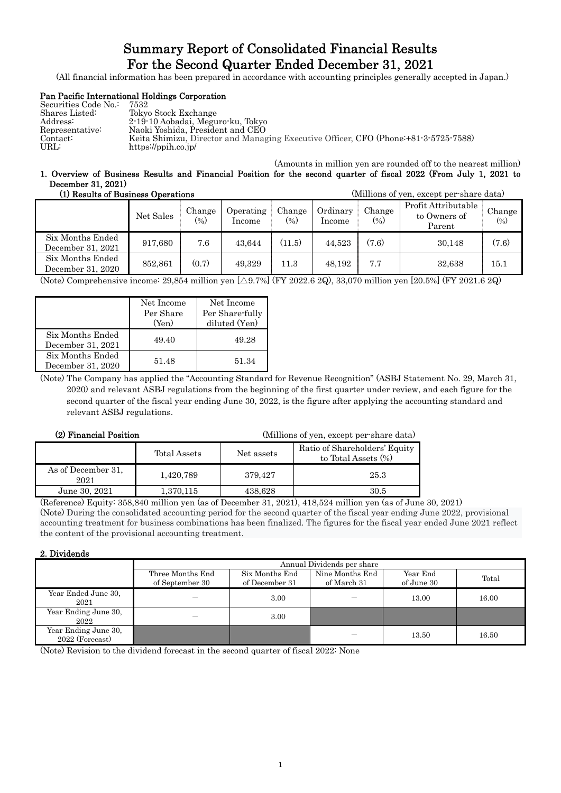### Summary Report of Consolidated Financial Results For the Second Quarter Ended December 31, 2021

(All financial information has been prepared in accordance with accounting principles generally accepted in Japan.)

### Pan Pacific International Holdings Corporation

| Securities Code No.: | 7532                                                                                 |
|----------------------|--------------------------------------------------------------------------------------|
| Shares Listed:       | Tokyo Stock Exchange                                                                 |
| Address:             | 2-19-10 Aobadai, Meguro-ku, Tokyo                                                    |
| Representative:      | Naoki Yoshida. President and CEO                                                     |
| Contact:             | Keita Shimizu, Director and Managing Executive Officer, CFO (Phone: +81-3-5725-7588) |
| URL:                 | https://ppih.co.jp/                                                                  |

#### (Amounts in million yen are rounded off to the nearest million) 1. Overview of Business Results and Financial Position for the second quarter of fiscal 2022 (From July 1, 2021 to December 31, 2021)

| (1) Results of Business Operations    |           |                  |                     |                  | (Millions of yen, except per-share data) |                  |                                               |                  |
|---------------------------------------|-----------|------------------|---------------------|------------------|------------------------------------------|------------------|-----------------------------------------------|------------------|
|                                       | Net Sales | Change<br>$(\%)$ | Operating<br>Income | Change<br>$(\%)$ | Ordinarv<br>Income                       | Change<br>$(\%)$ | Profit Attributable<br>to Owners of<br>Parent | Change<br>$(\%)$ |
| Six Months Ended<br>December 31, 2021 | 917,680   | 7.6              | 43.644              | (11.5)           | 44.523                                   | (7.6)            | 30,148                                        | (7.6)            |
| Six Months Ended<br>December 31, 2020 | 852,861   | (0.7)            | 49.329              | 11.3             | 48.192                                   | 7.7              | 32,638                                        | 15.1             |

(Note) Comprehensive income: 29,854 million yen [△9.7%] (FY 2022.6 2Q), 33,070 million yen [20.5%] (FY 2021.6 2Q)

|                                       | Net Income<br>Per Share<br>(Yen) | Net Income<br>Per Share-fully<br>diluted (Yen) |
|---------------------------------------|----------------------------------|------------------------------------------------|
| Six Months Ended<br>December 31, 2021 | 49.40                            | 49.28                                          |
| Six Months Ended<br>December 31, 2020 | 51.48                            | 51.34                                          |

(Note) The Company has applied the "Accounting Standard for Revenue Recognition" (ASBJ Statement No. 29, March 31, 2020) and relevant ASBJ regulations from the beginning of the first quarter under review, and each figure for the second quarter of the fiscal year ending June 30, 2022, is the figure after applying the accounting standard and relevant ASBJ regulations.

(2) Financial Position (Millions of yen, except per-share data)

|                            | Total Assets | Net assets | Ratio of Shareholders' Equity<br>to Total Assets $(\%)$ |
|----------------------------|--------------|------------|---------------------------------------------------------|
| As of December 31,<br>2021 | 1,420,789    | 379.427    | 25.3                                                    |
| June 30, 2021              | 1.370.115    | 438.628    | 30.5                                                    |

(Reference) Equity: 358,840 million yen (as of December 31, 2021), 418,524 million yen (as of June 30, 2021) (Note) During the consolidated accounting period for the second quarter of the fiscal year ending June 2022, provisional accounting treatment for business combinations has been finalized. The figures for the fiscal year ended June 2021 reflect the content of the provisional accounting treatment.

### 2. Dividends

|                                         | Annual Dividends per share          |                                  |                                |                        |       |  |  |
|-----------------------------------------|-------------------------------------|----------------------------------|--------------------------------|------------------------|-------|--|--|
|                                         | Three Months End<br>of September 30 | Six Months End<br>of December 31 | Nine Months End<br>of March 31 | Year End<br>of June 30 | Total |  |  |
| Year Ended June 30,<br>2021             |                                     | 3.00                             |                                | 13.00                  | 16.00 |  |  |
| Year Ending June 30,<br>2022            |                                     | 3.00                             |                                |                        |       |  |  |
| Year Ending June 30,<br>2022 (Forecast) |                                     |                                  |                                | 13.50                  | 16.50 |  |  |

(Note) Revision to the dividend forecast in the second quarter of fiscal 2022: None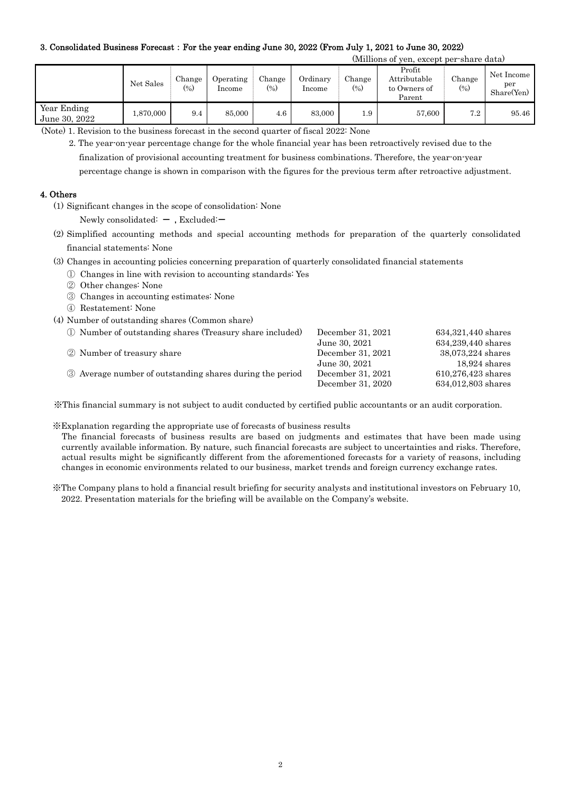### 3. Consolidated Business Forecast:For the year ending June 30, 2022 (From July 1, 2021 to June 30, 2022)

(Millions of yen, except per-share data)

|                              | Net Sales | Change<br>$(\%)$ | Operating<br>Income | Change<br>(0) | Ordinarv<br>Income | Change<br>(%) | Profit<br>Attributable<br>to Owners of<br>Parent | Change<br>$(\%)$ | Net Income<br>per<br>Share(Yen) |
|------------------------------|-----------|------------------|---------------------|---------------|--------------------|---------------|--------------------------------------------------|------------------|---------------------------------|
| Year Ending<br>June 30, 2022 | .870,000  | 9.4              | 85,000              | $4.6\,$       | 83,000             | 1.9           | 57,600                                           | 7.2              | 95.46                           |

(Note) 1. Revision to the business forecast in the second quarter of fiscal 2022: None

2. The year-on-year percentage change for the whole financial year has been retroactively revised due to the finalization of provisional accounting treatment for business combinations. Therefore, the year-on-year

percentage change is shown in comparison with the figures for the previous term after retroactive adjustment.

#### 4. Others

(1) Significant changes in the scope of consolidation: None

Newly consolidated:  $-$  , Excluded: $-$ 

- (2) Simplified accounting methods and special accounting methods for preparation of the quarterly consolidated financial statements: None
- (3) Changes in accounting policies concerning preparation of quarterly consolidated financial statements
	- ① Changes in line with revision to accounting standards: Yes
	- ② Other changes: None
	- ③ Changes in accounting estimates: None
	- ④ Restatement: None
- (4) Number of outstanding shares (Common share)

| 1) Number of outstanding shares (Treasury share included) | December 31, 2021 | 634,321,440 shares |
|-----------------------------------------------------------|-------------------|--------------------|
|                                                           | June 30, 2021     | 634,239,440 shares |
| 2 Number of treasury share                                | December 31, 2021 | 38,073,224 shares  |
|                                                           | June 30, 2021     | $18,924$ shares    |
| 3 Average number of outstanding shares during the period  | December 31, 2021 | 610,276,423 shares |
|                                                           | December 31, 2020 | 634,012,803 shares |

※This financial summary is not subject to audit conducted by certified public accountants or an audit corporation.

※Explanation regarding the appropriate use of forecasts of business results

The financial forecasts of business results are based on judgments and estimates that have been made using currently available information. By nature, such financial forecasts are subject to uncertainties and risks. Therefore, actual results might be significantly different from the aforementioned forecasts for a variety of reasons, including changes in economic environments related to our business, market trends and foreign currency exchange rates.

※The Company plans to hold a financial result briefing for security analysts and institutional investors on February 10, 2022. Presentation materials for the briefing will be available on the Company's website.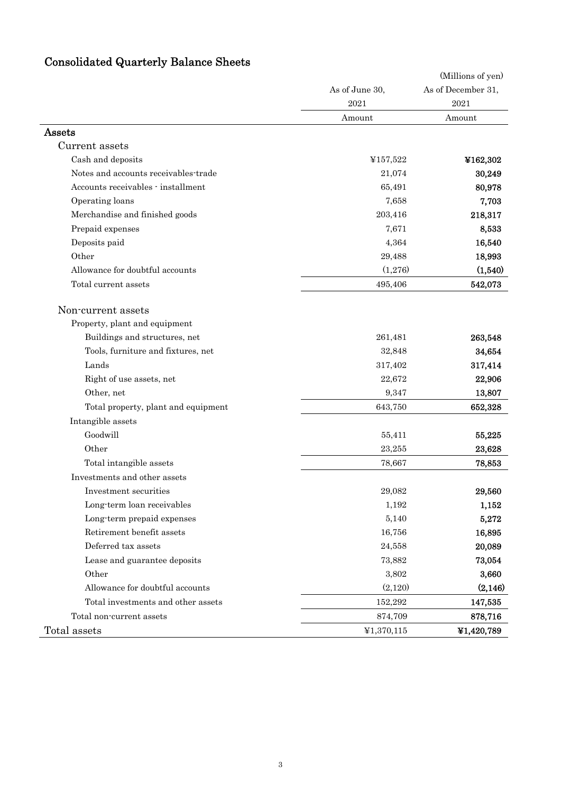| <b>Consolidated Quarterly Balance Sheets</b> |  |  |  |
|----------------------------------------------|--|--|--|
|----------------------------------------------|--|--|--|

| Consolidated Quarterly Balance Sheets |                        |                                         |
|---------------------------------------|------------------------|-----------------------------------------|
|                                       |                        | (Millions of yen)<br>As of December 31, |
|                                       | As of June 30,<br>2021 | 2021                                    |
|                                       | Amount                 | Amount                                  |
| Assets                                |                        |                                         |
| Current assets                        |                        |                                         |
| Cash and deposits                     | ¥157,522               | ¥162,302                                |
| Notes and accounts receivables-trade  | 21,074                 | 30,249                                  |
| Accounts receivables - installment    | 65,491                 | 80,978                                  |
| Operating loans                       | 7,658                  | 7,703                                   |
| Merchandise and finished goods        | 203,416                | 218,317                                 |
| Prepaid expenses                      | 7,671                  | 8,533                                   |
| Deposits paid                         | 4,364                  | 16,540                                  |
| Other                                 | 29,488                 | 18,993                                  |
| Allowance for doubtful accounts       | (1,276)                | (1,540)                                 |
| Total current assets                  | 495,406                | 542,073                                 |
|                                       |                        |                                         |
| Non-current assets                    |                        |                                         |
| Property, plant and equipment         |                        |                                         |
| Buildings and structures, net         | 261,481                | 263,548                                 |
| Tools, furniture and fixtures, net    | 32,848                 | 34,654                                  |
| Lands                                 | 317,402                | 317,414                                 |
| Right of use assets, net              | 22,672                 | 22,906                                  |
| Other, net                            | 9,347                  | 13,807                                  |
| Total property, plant and equipment   | 643,750                | 652,328                                 |
| Intangible assets                     |                        |                                         |
| Goodwill                              | 55,411                 | 55,225                                  |
| Other                                 | 23,255                 | 23,628                                  |
| Total intangible assets               | 78,667                 | 78,853                                  |
| Investments and other assets          |                        |                                         |
| Investment securities                 | 29,082                 | 29,560                                  |
| Long-term loan receivables            | 1,192                  | 1,152                                   |
| Long-term prepaid expenses            | 5,140                  | 5,272                                   |
| Retirement benefit assets             | 16,756                 | 16,895                                  |
| Deferred tax assets                   | 24,558                 | 20,089                                  |
| Lease and guarantee deposits          | 73,882                 | 73,054                                  |
| Other                                 | 3,802                  | 3,660                                   |
| Allowance for doubtful accounts       | (2,120)                | (2, 146)                                |
| Total investments and other assets    | 152,292                | 147,535                                 |
| Total non-current assets              | 874,709                | 878,716                                 |
| Total assets                          | ¥1,370,115             | ¥1,420,789                              |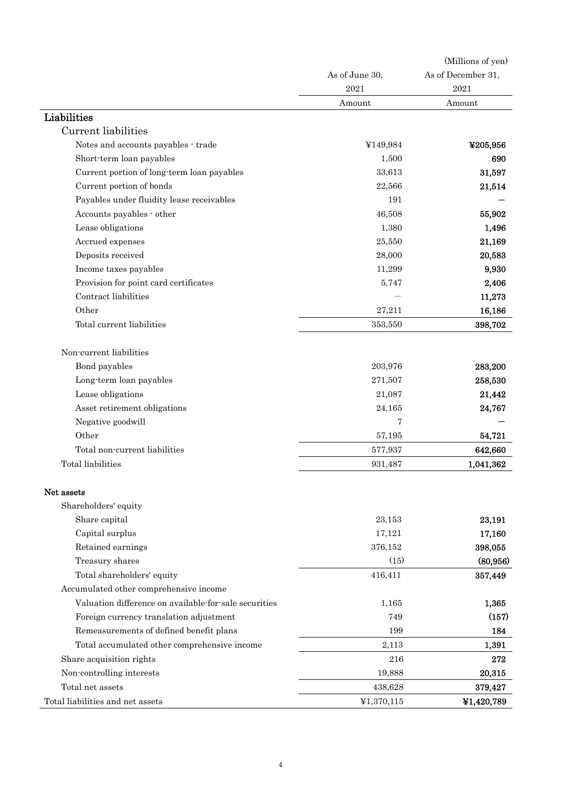| (Millions of yen)  |  |
|--------------------|--|
| As of December 31, |  |
| 2021               |  |
| Amount             |  |
|                    |  |
|                    |  |
| ¥205,956           |  |
| 690                |  |
| 31,597             |  |
| 21,514             |  |
|                    |  |
| 55,902             |  |
| 1,496              |  |
| 21,169             |  |
| 20,583             |  |
| 9,930              |  |
| 2,406              |  |
| 11,273             |  |
| 16,186             |  |
| 398,702            |  |
|                    |  |
| 283,200            |  |
| 258,530            |  |
| 21,442             |  |
| 24,767             |  |
|                    |  |
| 54,721             |  |
| 642,660            |  |
| 1,041,362          |  |
|                    |  |
|                    |  |
| 23,191             |  |
| 17,160             |  |
| 398,055            |  |
| (80, 956)          |  |
| 357,449            |  |
|                    |  |
| 1,365              |  |
| (157)              |  |
| 184                |  |
| 1,391              |  |
| 272                |  |
| 20,315             |  |
| 379,427            |  |
|                    |  |
|                    |  |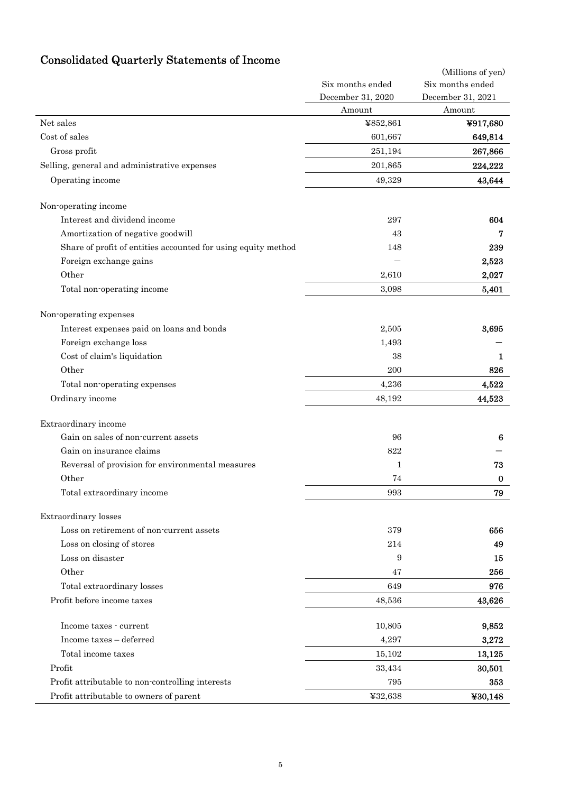# Consolidated Quarterly Statements of Income

|                                                               |                   | (Millions of yen) |
|---------------------------------------------------------------|-------------------|-------------------|
|                                                               | Six months ended  | Six months ended  |
|                                                               | December 31, 2020 | December 31, 2021 |
|                                                               | Amount            | Amount            |
| Net sales                                                     | ¥852,861          | ¥917,680          |
| Cost of sales                                                 | 601,667           | 649,814           |
| Gross profit                                                  | 251,194           | 267,866           |
| Selling, general and administrative expenses                  | 201,865           | 224,222           |
| Operating income                                              | 49,329            | 43,644            |
| Non-operating income                                          |                   |                   |
| Interest and dividend income                                  | 297               | 604               |
| Amortization of negative goodwill                             | 43                | 7                 |
| Share of profit of entities accounted for using equity method | 148               | 239               |
| Foreign exchange gains                                        |                   | 2,523             |
| Other                                                         | 2,610             | 2,027             |
| Total non-operating income                                    | 3,098             | 5,401             |
| Non-operating expenses                                        |                   |                   |
| Interest expenses paid on loans and bonds                     | 2,505             | 3,695             |
| Foreign exchange loss                                         | 1,493             |                   |
| Cost of claim's liquidation                                   | 38                | 1                 |
| Other                                                         | 200               | 826               |
| Total non-operating expenses                                  | 4,236             | 4,522             |
| Ordinary income                                               | 48,192            | 44,523            |
| Extraordinary income                                          |                   |                   |
| Gain on sales of non-current assets                           | 96                | 6                 |
| Gain on insurance claims                                      | 822               |                   |
| Reversal of provision for environmental measures              | $\mathbf{1}$      | 73                |
| Other                                                         | 74                | $\bf{0}$          |
| Total extraordinary income                                    | 993               | 79                |
| Extraordinary losses                                          |                   |                   |
| Loss on retirement of non-current assets                      | 379               | 656               |
| Loss on closing of stores                                     | 214               | 49                |
| Loss on disaster                                              | 9                 | 15                |
| Other                                                         | 47                | 256               |
| Total extraordinary losses                                    | 649               | 976               |
| Profit before income taxes                                    | 48,536            | 43,626            |
| Income taxes - current                                        | 10,805            | 9,852             |
| Income taxes - deferred                                       | 4,297             | 3,272             |
| Total income taxes                                            | 15,102            | 13,125            |
| Profit                                                        | 33,434            | 30,501            |
| Profit attributable to non-controlling interests              | 795               | 353               |
| Profit attributable to owners of parent                       | ¥32,638           | ¥30,148           |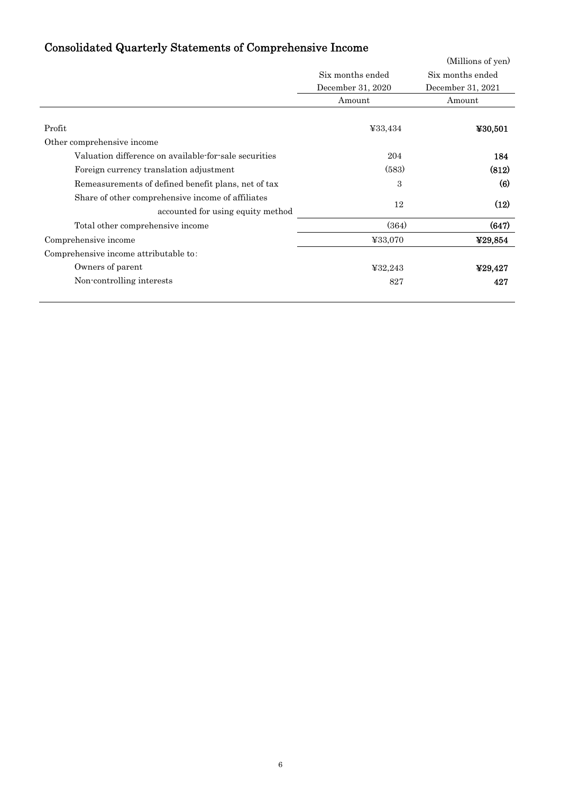## Consolidated Quarterly Statements of Comprehensive Income

| - 7                                                   |                   | (Millions of yen) |
|-------------------------------------------------------|-------------------|-------------------|
|                                                       | Six months ended  | Six months ended  |
|                                                       | December 31, 2020 | December 31, 2021 |
|                                                       | Amount            | Amount            |
|                                                       |                   |                   |
| Profit                                                | ¥33,434           | ¥30,501           |
| Other comprehensive income                            |                   |                   |
| Valuation difference on available-for-sale securities | 204               | 184               |
| Foreign currency translation adjustment               | (583)             | (812)             |
| Remeasurements of defined benefit plans, net of tax   | 3                 | (6)               |
| Share of other comprehensive income of affiliates     |                   |                   |
| accounted for using equity method                     | 12                | (12)              |
| Total other comprehensive income                      | (364)             | (647)             |
| Comprehensive income                                  | ¥33,070           | ¥29,854           |
| Comprehensive income attributable to:                 |                   |                   |
| Owners of parent                                      | ¥32,243           | ¥29,427           |
| Non-controlling interests                             | 827               | 427               |
|                                                       |                   |                   |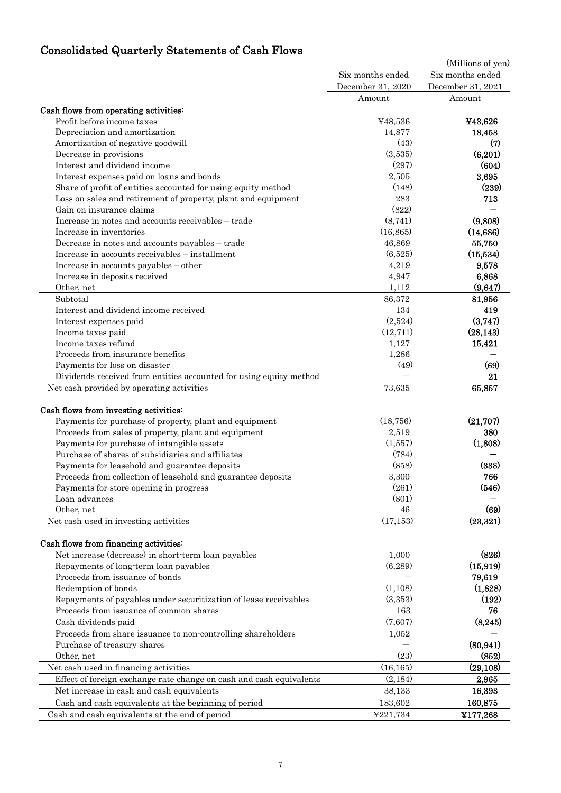# Consolidated Quarterly Statements of Cash Flows

|                                                                     |                                       | (Millions of yen)                     |  |
|---------------------------------------------------------------------|---------------------------------------|---------------------------------------|--|
|                                                                     | Six months ended<br>December 31, 2020 | Six months ended<br>December 31, 2021 |  |
|                                                                     | Amount                                | Amount                                |  |
| Cash flows from operating activities:                               |                                       |                                       |  |
| Profit before income taxes                                          | ¥48,536                               | ¥43,626                               |  |
| Depreciation and amortization                                       | 14,877                                | 18,453                                |  |
| Amortization of negative goodwill                                   | (43)                                  | (7)                                   |  |
| Decrease in provisions                                              | (3,535)                               | (6,201)                               |  |
| Interest and dividend income                                        | (297)                                 | (604)                                 |  |
| Interest expenses paid on loans and bonds                           | 2,505                                 | 3,695                                 |  |
| Share of profit of entities accounted for using equity method       | (148)                                 | (239)                                 |  |
| Loss on sales and retirement of property, plant and equipment       | 283                                   | 713                                   |  |
| Gain on insurance claims                                            | (822)                                 |                                       |  |
| Increase in notes and accounts receivables - trade                  | (8,741)                               | (9,808)                               |  |
| Increase in inventories                                             | (16, 865)                             | (14, 686)                             |  |
| Decrease in notes and accounts payables - trade                     | 46,869                                | 55,750                                |  |
| Increase in accounts receivables - installment                      | (6,525)                               | (15,534)                              |  |
| Increase in accounts payables - other                               | 4,219                                 | 9,578                                 |  |
| Increase in deposits received                                       | 4,947                                 | 6,868                                 |  |
| Other, net                                                          | 1,112                                 | (9,647)                               |  |
| Subtotal                                                            | 86,372                                | 81,956                                |  |
| Interest and dividend income received                               | 134                                   | 419                                   |  |
| Interest expenses paid                                              | (2,524)                               | (3,747)                               |  |
| Income taxes paid                                                   | (12, 711)                             | (28, 143)                             |  |
| Income taxes refund                                                 | 1,127                                 | 15,421                                |  |
| Proceeds from insurance benefits                                    | 1,286                                 |                                       |  |
| Payments for loss on disaster                                       | (49)                                  | (69)                                  |  |
| Dividends received from entities accounted for using equity method  |                                       | 21                                    |  |
| Net cash provided by operating activities                           | 73,635                                | 65,857                                |  |
|                                                                     |                                       |                                       |  |
| Cash flows from investing activities:                               |                                       |                                       |  |
| Payments for purchase of property, plant and equipment              | (18, 756)                             | (21, 707)                             |  |
| Proceeds from sales of property, plant and equipment                | 2,519                                 | 380                                   |  |
| Payments for purchase of intangible assets                          | (1,557)                               | (1,808)                               |  |
| Purchase of shares of subsidiaries and affiliates                   | (784)                                 |                                       |  |
| Payments for leasehold and guarantee deposits                       | (858)                                 | (338)                                 |  |
| Proceeds from collection of leasehold and guarantee deposits        | 3,300                                 | 766                                   |  |
| Payments for store opening in progress                              | (261)                                 | (546)                                 |  |
| Loan advances                                                       | (801)                                 |                                       |  |
| Other, net                                                          | 46                                    | (69)                                  |  |
| Net cash used in investing activities                               | (17, 153)                             | (23, 321)                             |  |
| Cash flows from financing activities:                               |                                       |                                       |  |
| Net increase (decrease) in short-term loan payables                 | 1,000                                 | (826)                                 |  |
| Repayments of long-term loan payables                               | (6,289)                               | (15, 919)                             |  |
| Proceeds from issuance of bonds                                     |                                       | 79,619                                |  |
| Redemption of bonds                                                 | (1,108)                               | (1,828)                               |  |
| Repayments of payables under securitization of lease receivables    | (3,353)                               | (192)                                 |  |
| Proceeds from issuance of common shares                             | 163                                   | 76                                    |  |
| Cash dividends paid                                                 | (7,607)                               | (8, 245)                              |  |
| Proceeds from share issuance to non-controlling shareholders        | 1,052                                 |                                       |  |
| Purchase of treasury shares                                         |                                       | (80, 941)                             |  |
| Other, net                                                          | (23)                                  | (852)                                 |  |
| Net cash used in financing activities                               | (16, 165)                             | (29, 108)                             |  |
| Effect of foreign exchange rate change on cash and cash equivalents | (2,184)                               | 2,965                                 |  |
|                                                                     | 38,133                                | 16,393                                |  |
| Net increase in cash and cash equivalents                           |                                       |                                       |  |
| Cash and cash equivalents at the beginning of period                | 183,602                               | 160,875                               |  |
| Cash and cash equivalents at the end of period                      | ¥221,734                              | ¥177,268                              |  |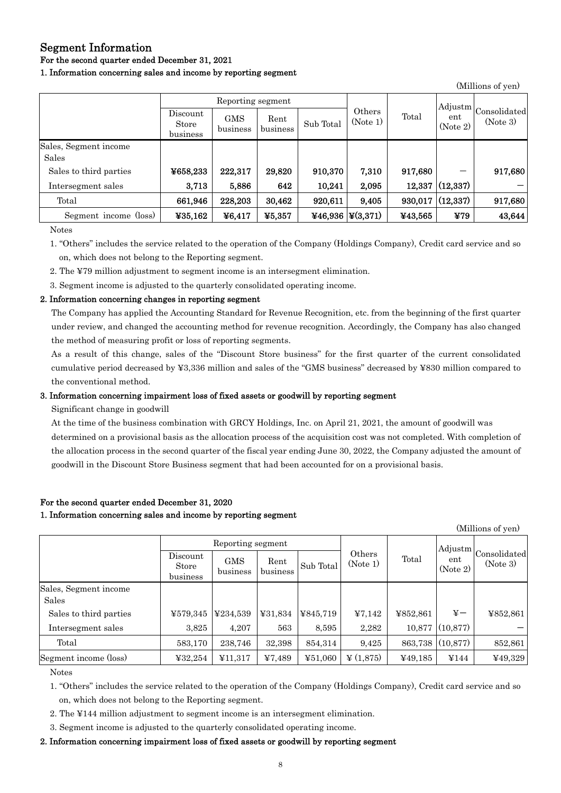### Segment Information

### For the second quarter ended December 31, 2021

#### 1. Information concerning sales and income by reporting segment

|                        | Reporting segment             |                        |                  |           |                          | Adjustm |                 |                          |
|------------------------|-------------------------------|------------------------|------------------|-----------|--------------------------|---------|-----------------|--------------------------|
|                        | Discount<br>Store<br>business | <b>GMS</b><br>business | Rent<br>business | Sub Total | Others<br>(Note 1)       | Total   | ent<br>(Note 2) | Consolidated<br>(Note 3) |
| Sales, Segment income  |                               |                        |                  |           |                          |         |                 |                          |
| Sales                  |                               |                        |                  |           |                          |         |                 |                          |
| Sales to third parties | ¥658,233                      | 222,317                | 29,820           | 910,370   | 7,310                    | 917,680 |                 | 917,680                  |
| Intersegment sales     | 3,713                         | 5,886                  | 642              | 10,241    | 2,095                    | 12,337  | (12, 337)       |                          |
| Total                  | 661,946                       | 228,203                | 30,462           | 920,611   | 9,405                    | 930,017 | (12, 337)       | 917,680                  |
| Segment income (loss)  | ¥35,162                       | ¥6,417                 | ¥5,357           |           | ¥46,936 $\vert$ ¥(3,371) | ¥43,565 | ¥79             | 43,644                   |

(Millions of yen)

Notes

1. "Others" includes the service related to the operation of the Company (Holdings Company), Credit card service and so on, which does not belong to the Reporting segment.

2. The ¥79 million adjustment to segment income is an intersegment elimination.

3. Segment income is adjusted to the quarterly consolidated operating income.

### 2. Information concerning changes in reporting segment

The Company has applied the Accounting Standard for Revenue Recognition, etc. from the beginning of the first quarter under review, and changed the accounting method for revenue recognition. Accordingly, the Company has also changed the method of measuring profit or loss of reporting segments.

As a result of this change, sales of the "Discount Store business" for the first quarter of the current consolidated cumulative period decreased by ¥3,336 million and sales of the "GMS business" decreased by ¥830 million compared to the conventional method.

### 3. Information concerning impairment loss of fixed assets or goodwill by reporting segment

Significant change in goodwill

At the time of the business combination with GRCY Holdings, Inc. on April 21, 2021, the amount of goodwill was determined on a provisional basis as the allocation process of the acquisition cost was not completed. With completion of the allocation process in the second quarter of the fiscal year ending June 30, 2022, the Company adjusted the amount of goodwill in the Discount Store Business segment that had been accounted for on a provisional basis.

### For the second quarter ended December 31, 2020

### 1. Information concerning sales and income by reporting segment

| (Millions of yen)      |                               |                        |                  |           |                      |          |                 |                          |
|------------------------|-------------------------------|------------------------|------------------|-----------|----------------------|----------|-----------------|--------------------------|
|                        | Reporting segment             |                        |                  |           |                      | Adjustm  |                 |                          |
|                        | Discount<br>Store<br>business | <b>GMS</b><br>business | Rent<br>business | Sub Total | Others<br>(Note 1)   | Total    | ent<br>(Note 2) | Consolidated<br>(Note 3) |
| Sales, Segment income  |                               |                        |                  |           |                      |          |                 |                          |
| Sales                  |                               |                        |                  |           |                      |          |                 |                          |
| Sales to third parties | ¥579,345                      | ¥234,539               | ¥31,834          | ¥845,719  | 47,142               | ¥852,861 | ¥-              | ¥852,861                 |
| Intersegment sales     | 3,825                         | 4,207                  | 563              | 8,595     | 2,282                | 10,877   | (10, 877)       |                          |
| Total                  | 583,170                       | 238,746                | 32,398           | 854,314   | 9,425                | 863,738  | (10, 877)       | 852,861                  |
| Segment income (loss)  | ¥32,254                       | ¥11,317                | 47,489           | ¥51,060   | $\frac{1}{2}(1,875)$ | 449,185  | ¥144            | 449,329                  |

Notes

1. "Others" includes the service related to the operation of the Company (Holdings Company), Credit card service and so on, which does not belong to the Reporting segment.

- 2. The ¥144 million adjustment to segment income is an intersegment elimination.
- 3. Segment income is adjusted to the quarterly consolidated operating income.

### 2. Information concerning impairment loss of fixed assets or goodwill by reporting segment